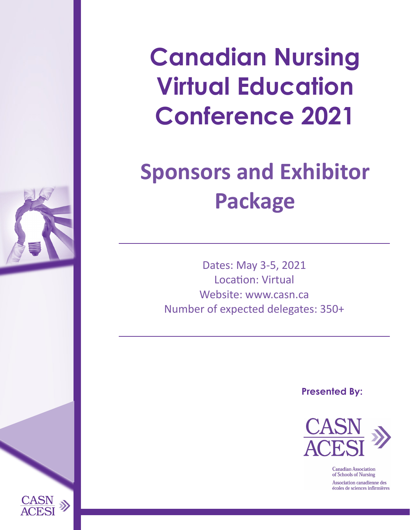**Canadian Nursing Virtual Education Conference 2021**

# **Sponsors and Exhibitor Package**

Dates: May 3-5, 2021 Location: Virtual Website: www.casn.ca Number of expected delegates: 350+

**Presented By:** 



**Canadian Association** of Schools of Nursing Association canadienne des écoles de sciences infirmières

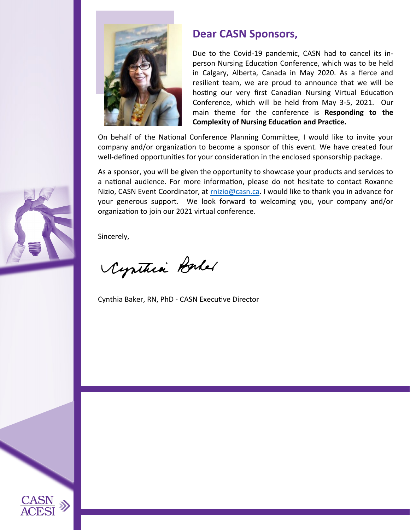

#### **Dear CASN Sponsors,**

Due to the Covid-19 pandemic, CASN had to cancel its inperson Nursing Education Conference, which was to be held in Calgary, Alberta, Canada in May 2020. As a fierce and resilient team, we are proud to announce that we will be hosting our very first Canadian Nursing Virtual Education Conference, which will be held from May 3-5, 2021. Our main theme for the conference is **Responding to the Complexity of Nursing Education and Practice.**

On behalf of the National Conference Planning Committee, I would like to invite your company and/or organization to become a sponsor of this event. We have created four well-defined opportunities for your consideration in the enclosed sponsorship package.

As a sponsor, you will be given the opportunity to showcase your products and services to a national audience. For more information, please do not hesitate to contact Roxanne Nizio, CASN Event Coordinator, at rnizio@casn.ca. I would like to thank you in advance for your generous support. We look forward to welcoming you, your company and/or organization to join our 2021 virtual conference.

Sincerely,

Cynthia Barber

Cynthia Baker, RN, PhD - CASN Executive Director



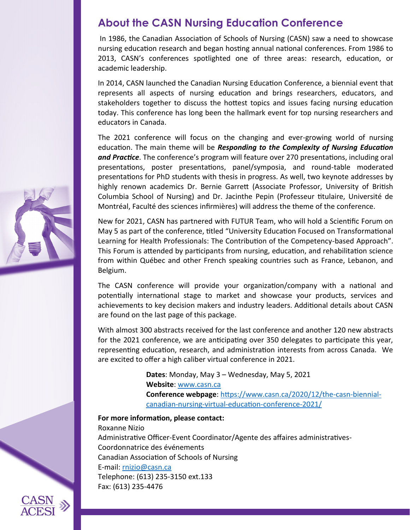### **About the CASN Nursing Education Conference**

In 1986, the Canadian Association of Schools of Nursing (CASN) saw a need to showcase nursing education research and began hosting annual national conferences. From 1986 to 2013, CASN's conferences spotlighted one of three areas: research, education, or academic leadership.

In 2014, CASN launched the Canadian Nursing Education Conference*,* a biennial event that represents all aspects of nursing education and brings researchers, educators, and stakeholders together to discuss the hottest topics and issues facing nursing education today. This conference has long been the hallmark event for top nursing researchers and educators in Canada.

The 2021 conference will focus on the changing and ever-growing world of nursing education. The main theme will be *Responding to the Complexity of Nursing Education and Practice*. The conference's program will feature over 270 presentations, including oral presentations, poster presentations, panel/symposia, and round-table moderated presentations for PhD students with thesis in progress. As well, two keynote addresses by highly renown academics Dr. Bernie Garrett (Associate Professor, University of British Columbia School of Nursing) and Dr. Jacinthe Pepin (Professeur titulaire, Université de Montréal, Faculté des sciences infirmières) will address the theme of the conference.

New for 2021, CASN has partnered with FUTUR Team, who will hold a Scientific Forum on May 5 as part of the conference, titled "University Education Focused on Transformational Learning for Health Professionals: The Contribution of the Competency-based Approach". This Forum is attended by participants from nursing, education, and rehabilitation science from within Québec and other French speaking countries such as France, Lebanon, and Belgium.

The CASN conference will provide your organization/company with a national and potentially international stage to market and showcase your products, services and achievements to key decision makers and industry leaders. Additional details about CASN are found on the last page of this package.

With almost 300 abstracts received for the last conference and another 120 new abstracts for the 2021 conference, we are anticipating over 350 delegates to participate this year, representing education, research, and administration interests from across Canada. We are excited to offer a high caliber virtual conference in 2021.

> **Dates**: Monday, May 3 – Wednesday, May 5, 2021 **Website**: www.casn.ca **Conference webpage**: https://www.casn.ca/2020/12/the-casn-biennialcanadian-nursing-virtual-education-conference-2021/

**For more information, please contact:** Roxanne Nizio Administrative Officer-Event Coordinator/Agente des affaires administratives-Coordonnatrice des événements Canadian Association of Schools of Nursing E-mail: [rnizio@casn.ca](mailto:rnizio@casn.ca) Telephone: (613) 235-3150 ext.133 Fax: (613) 235-4476



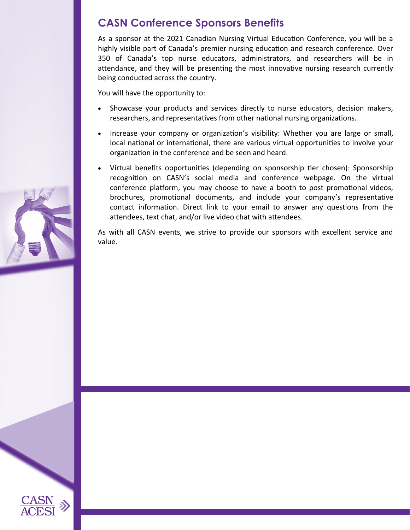#### **CASN Conference Sponsors Benefits**

As a sponsor at the 2021 Canadian Nursing Virtual Education Conference, you will be a highly visible part of Canada's premier nursing education and research conference. Over 350 of Canada's top nurse educators, administrators, and researchers will be in attendance, and they will be presenting the most innovative nursing research currently being conducted across the country.

You will have the opportunity to:

- Showcase your products and services directly to nurse educators, decision makers, researchers, and representatives from other national nursing organizations.
- Increase your company or organization's visibility: Whether you are large or small, local national or international, there are various virtual opportunities to involve your organization in the conference and be seen and heard.
- Virtual benefits opportunities (depending on sponsorship tier chosen): Sponsorship recognition on CASN's social media and conference webpage. On the virtual conference platform, you may choose to have a booth to post promotional videos, brochures, promotional documents, and include your company's representative contact information. Direct link to your email to answer any questions from the attendees, text chat, and/or live video chat with attendees.

As with all CASN events, we strive to provide our sponsors with excellent service and value.



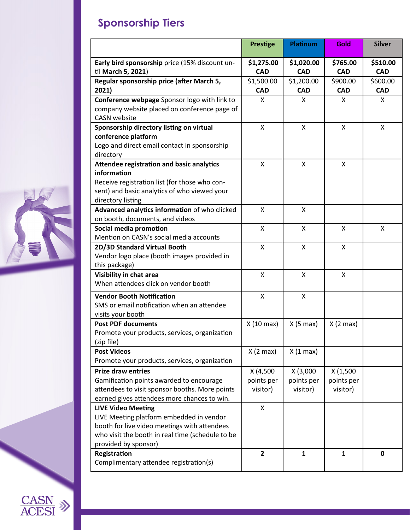## **Sponsorship Tiers**

|                                                                                                                                                                                                   | <b>Prestige</b>                    | Platinum                           | Gold                               | <b>Silver</b>          |
|---------------------------------------------------------------------------------------------------------------------------------------------------------------------------------------------------|------------------------------------|------------------------------------|------------------------------------|------------------------|
| Early bird sponsorship price (15% discount un-<br>til March 5, 2021)                                                                                                                              | \$1,275.00<br><b>CAD</b>           | \$1,020.00<br><b>CAD</b>           | \$765.00<br><b>CAD</b>             | \$510.00<br><b>CAD</b> |
| Regular sponsorship price (after March 5,                                                                                                                                                         | \$1,500.00                         | \$1,200.00                         | \$900.00                           | \$600.00               |
| 2021)                                                                                                                                                                                             | <b>CAD</b>                         | <b>CAD</b>                         | <b>CAD</b>                         | <b>CAD</b>             |
| Conference webpage Sponsor logo with link to<br>company website placed on conference page of<br><b>CASN</b> website                                                                               | X                                  | X                                  | X                                  | X                      |
| Sponsorship directory listing on virtual<br>conference platform<br>Logo and direct email contact in sponsorship<br>directory                                                                      | X                                  | X                                  | X                                  | X                      |
| Attendee registration and basic analytics<br>information<br>Receive registration list (for those who con-<br>sent) and basic analytics of who viewed your<br>directory listing                    | X                                  | X                                  | X                                  |                        |
| Advanced analytics information of who clicked<br>on booth, documents, and videos                                                                                                                  | X                                  | X                                  |                                    |                        |
| Social media promotion<br>Mention on CASN's social media accounts                                                                                                                                 | X                                  | X                                  | $\mathsf{x}$                       | X                      |
| 2D/3D Standard Virtual Booth<br>Vendor logo place (booth images provided in<br>this package)                                                                                                      | $\mathsf{x}$                       | X                                  | X                                  |                        |
| Visibility in chat area<br>When attendees click on vendor booth                                                                                                                                   | X                                  | X                                  | $\mathsf{x}$                       |                        |
| <b>Vendor Booth Notification</b><br>SMS or email notification when an attendee<br>visits your booth                                                                                               | X                                  | X                                  |                                    |                        |
| <b>Post PDF documents</b><br>Promote your products, services, organization<br>(zip file)                                                                                                          | X (10 max)                         | $X(5 \text{ max})$                 | $X(2 \text{ max})$                 |                        |
| <b>Post Videos</b><br>Promote your products, services, organization                                                                                                                               | $X(2 \text{ max})$                 | $X(1 \text{ max})$                 |                                    |                        |
| <b>Prize draw entries</b><br>Gamification points awarded to encourage<br>attendees to visit sponsor booths. More points<br>earned gives attendees more chances to win.                            | X (4,500<br>points per<br>visitor) | X (3,000<br>points per<br>visitor) | X(1,500)<br>points per<br>visitor) |                        |
| <b>LIVE Video Meeting</b><br>LIVE Meeting platform embedded in vendor<br>booth for live video meetings with attendees<br>who visit the booth in real time (schedule to be<br>provided by sponsor) | Χ                                  |                                    |                                    |                        |
| Registration<br>Complimentary attendee registration(s)                                                                                                                                            | $\overline{2}$                     | $\mathbf{1}$                       | $\mathbf{1}$                       | $\mathbf 0$            |



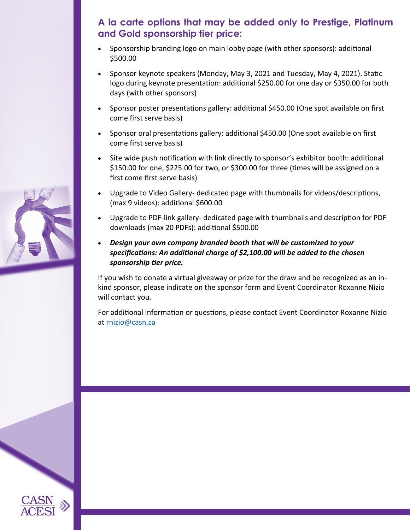#### **A la carte options that may be added only to Prestige, Platinum and Gold sponsorship tier price:**

- Sponsorship branding logo on main lobby page (with other sponsors): additional \$500.00
- Sponsor keynote speakers (Monday, May 3, 2021 and Tuesday, May 4, 2021). Static logo during keynote presentation: additional \$250.00 for one day or \$350.00 for both days (with other sponsors)
- Sponsor poster presentations gallery: additional \$450.00 (One spot available on first come first serve basis)
- Sponsor oral presentations gallery: additional \$450.00 (One spot available on first come first serve basis)
- Site wide push notification with link directly to sponsor's exhibitor booth: additional \$150.00 for one, \$225.00 for two, or \$300.00 for three (times will be assigned on a first come first serve basis)
- Upgrade to Video Gallery- dedicated page with thumbnails for videos/descriptions, (max 9 videos): additional \$600.00
- Upgrade to PDF-link gallery- dedicated page with thumbnails and description for PDF downloads (max 20 PDFs): additional \$500.00
- *Design your own company branded booth that will be customized to your specifications: An additional charge of \$2,100.00 will be added to the chosen sponsorship tier price.*

If you wish to donate a virtual giveaway or prize for the draw and be recognized as an inkind sponsor, please indicate on the sponsor form and Event Coordinator Roxanne Nizio will contact you.

For additional information or questions, please contact Event Coordinator Roxanne Nizio at rnizio@casn.ca



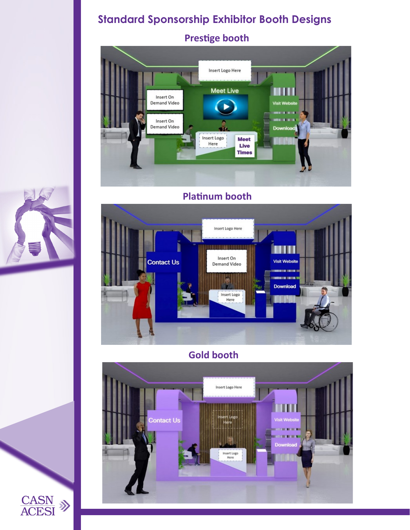## **Standard Sponsorship Exhibitor Booth Designs**

**Prestige booth**



#### **Platinum booth**



## **Gold booth**





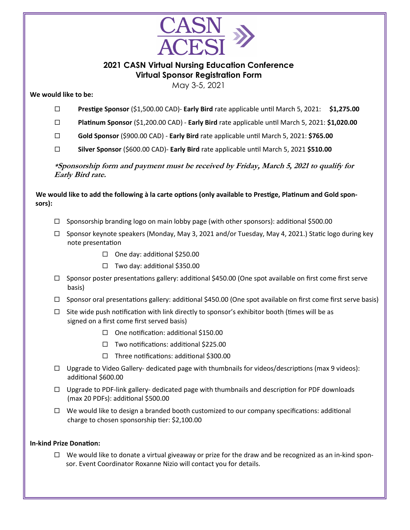

#### **2021 CASN Virtual Nursing Education Conference Virtual Sponsor Registration Form**

May 3-5, 2021

#### **We would like to be:**

- **Prestige Sponsor** (\$1,500.00 CAD)- **Early Bird** rate applicable until March 5, 2021: **\$1,275.00**
- **Platinum Sponsor** (\$1,200.00 CAD) **Early Bird** rate applicable until March 5, 2021: **\$1,020.00**
- **Gold Sponsor** (\$900.00 CAD) **Early Bird** rate applicable until March 5, 2021: **\$765.00**
- **Silver Sponsor** (\$600.00 CAD)- **Early Bird** rate applicable until March 5, 2021 **\$510.00**

**\*Sponsorship form and payment must be received by Friday, March 5, 2021 to qualify for Early Bird rate.**

**We would like to add the following à la carte options (only available to Prestige, Platinum and Gold sponsors):**

- $\Box$  Sponsorship branding logo on main lobby page (with other sponsors): additional \$500.00
- $\Box$  Sponsor keynote speakers (Monday, May 3, 2021 and/or Tuesday, May 4, 2021.) Static logo during key note presentation
	- □ One day: additional \$250.00
	- $\Box$  Two day: additional \$350.00
- $\Box$  Sponsor poster presentations gallery: additional \$450.00 (One spot available on first come first serve basis)
- $\Box$  Sponsor oral presentations gallery: additional \$450.00 (One spot available on first come first serve basis)
- $\Box$  Site wide push notification with link directly to sponsor's exhibitor booth (times will be as signed on a first come first served basis)
	- □ One notification: additional \$150.00
	- $\Box$  Two notifications: additional \$225.00
	- $\Box$  Three notifications: additional \$300.00
- $\Box$  Upgrade to Video Gallery- dedicated page with thumbnails for videos/descriptions (max 9 videos): additional \$600.00
- $\Box$  Upgrade to PDF-link gallery- dedicated page with thumbnails and description for PDF downloads (max 20 PDFs): additional \$500.00
- $\Box$  We would like to design a branded booth customized to our company specifications: additional charge to chosen sponsorship tier: \$2,100.00

#### **In-kind Prize Donation:**

 $\Box$  We would like to donate a virtual giveaway or prize for the draw and be recognized as an in-kind sponsor. Event Coordinator Roxanne Nizio will contact you for details.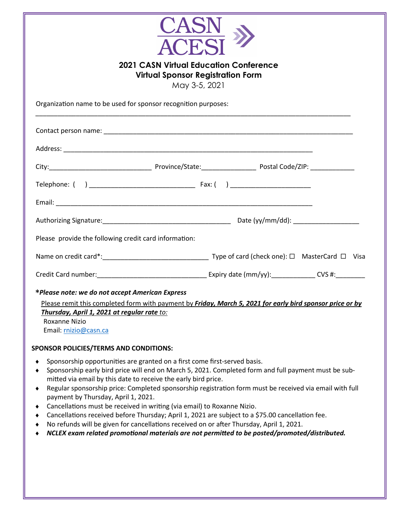| <b>2021 CASN Virtual Education Conference</b><br><b>Virtual Sponsor Registration Form</b><br>May 3-5, 2021                                                                                         |  |  |  |  |  |  |
|----------------------------------------------------------------------------------------------------------------------------------------------------------------------------------------------------|--|--|--|--|--|--|
| Organization name to be used for sponsor recognition purposes:                                                                                                                                     |  |  |  |  |  |  |
|                                                                                                                                                                                                    |  |  |  |  |  |  |
|                                                                                                                                                                                                    |  |  |  |  |  |  |
|                                                                                                                                                                                                    |  |  |  |  |  |  |
|                                                                                                                                                                                                    |  |  |  |  |  |  |
|                                                                                                                                                                                                    |  |  |  |  |  |  |
|                                                                                                                                                                                                    |  |  |  |  |  |  |
| Please provide the following credit card information:                                                                                                                                              |  |  |  |  |  |  |
|                                                                                                                                                                                                    |  |  |  |  |  |  |
|                                                                                                                                                                                                    |  |  |  |  |  |  |
| *Please note: we do not accept American Express                                                                                                                                                    |  |  |  |  |  |  |
| Please remit this completed form with payment by Friday, March 5, 2021 for early bird sponsor price or by<br>Thursday, April 1, 2021 at regular rate to:<br>Roxanne Nizio<br>Email: rnizio@casn.ca |  |  |  |  |  |  |
| SPONSOR POLICIES/TERMS AND CONDITIONS:                                                                                                                                                             |  |  |  |  |  |  |

- Sponsorship opportunities are granted on a first come first-served basis.
- Sponsorship early bird price will end on March 5, 2021. Completed form and full payment must be submitted via email by this date to receive the early bird price.
- Regular sponsorship price: Completed sponsorship registration form must be received via email with full payment by Thursday, April 1, 2021.
- Cancellations must be received in writing (via email) to Roxanne Nizio.
- Cancellations received before Thursday; April 1, 2021 are subject to a \$75.00 cancellation fee.
- No refunds will be given for cancellations received on or after Thursday, April 1, 2021.
- *NCLEX exam related promotional materials are not permitted to be posted/promoted/distributed.*